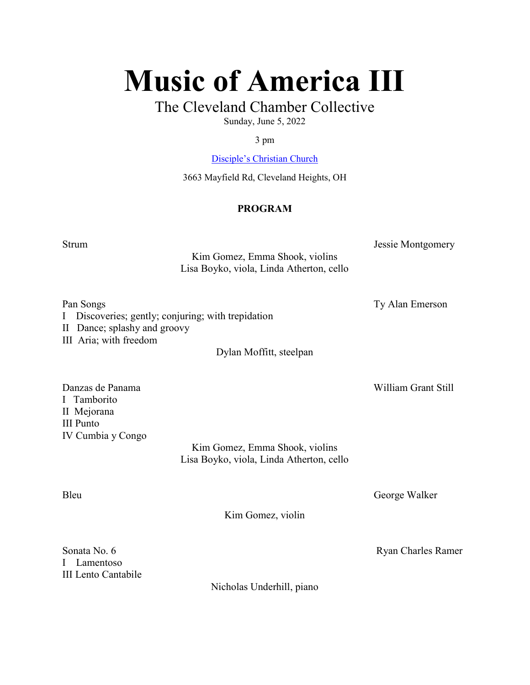# Music of America III

# The Cleveland Chamber Collective

Sunday, June 5, 2022

#### 3 pm

Disciple's Christian Church

3663 Mayfield Rd, Cleveland Heights, OH

# PROGRAM

Strum Jessie Montgomery Kim Gomez, Emma Shook, violins Lisa Boyko, viola, Linda Atherton, cello

Pan Songs Ty Alan Emerson I Discoveries; gently; conjuring; with trepidation II Dance; splashy and groovy

III Aria; with freedom

Dylan Moffitt, steelpan

Danzas de Panama William Grant Still I Tamborito II Mejorana III Punto IV Cumbia y Congo

Kim Gomez, Emma Shook, violins Lisa Boyko, viola, Linda Atherton, cello

Bleu George Walker

Kim Gomez, violin

Sonata No. 6 Ryan Charles Ramer I Lamentoso III Lento Cantabile

Nicholas Underhill, piano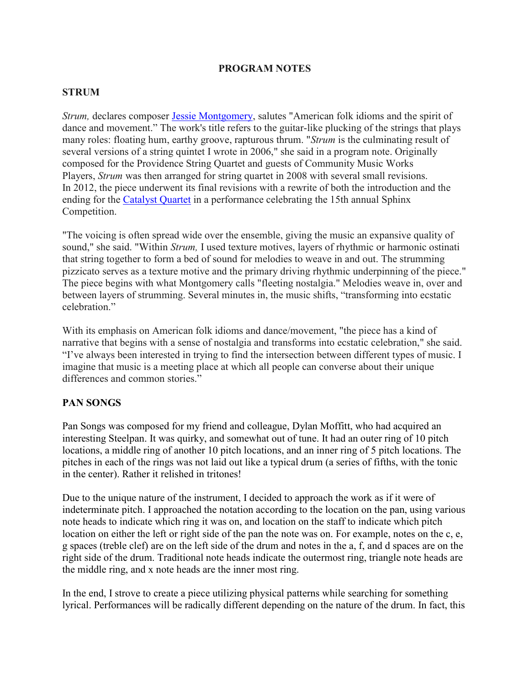#### PROGRAM NOTES

#### STRUM

Strum, declares composer Jessie Montgomery, salutes "American folk idioms and the spirit of dance and movement." The work's title refers to the guitar-like plucking of the strings that plays many roles: floating hum, earthy groove, rapturous thrum. "Strum is the culminating result of several versions of a string quintet I wrote in 2006," she said in a program note. Originally composed for the Providence String Quartet and guests of Community Music Works Players, *Strum* was then arranged for string quartet in 2008 with several small revisions. In 2012, the piece underwent its final revisions with a rewrite of both the introduction and the ending for the Catalyst Quartet in a performance celebrating the 15th annual Sphinx Competition.

"The voicing is often spread wide over the ensemble, giving the music an expansive quality of sound," she said. "Within Strum, I used texture motives, layers of rhythmic or harmonic ostinati that string together to form a bed of sound for melodies to weave in and out. The strumming pizzicato serves as a texture motive and the primary driving rhythmic underpinning of the piece." The piece begins with what Montgomery calls "fleeting nostalgia." Melodies weave in, over and between layers of strumming. Several minutes in, the music shifts, "transforming into ecstatic celebration"

With its emphasis on American folk idioms and dance/movement, "the piece has a kind of narrative that begins with a sense of nostalgia and transforms into ecstatic celebration," she said. "I've always been interested in trying to find the intersection between different types of music. I imagine that music is a meeting place at which all people can converse about their unique differences and common stories."

#### PAN SONGS

Pan Songs was composed for my friend and colleague, Dylan Moffitt, who had acquired an interesting Steelpan. It was quirky, and somewhat out of tune. It had an outer ring of 10 pitch locations, a middle ring of another 10 pitch locations, and an inner ring of 5 pitch locations. The pitches in each of the rings was not laid out like a typical drum (a series of fifths, with the tonic in the center). Rather it relished in tritones!

Due to the unique nature of the instrument, I decided to approach the work as if it were of indeterminate pitch. I approached the notation according to the location on the pan, using various note heads to indicate which ring it was on, and location on the staff to indicate which pitch location on either the left or right side of the pan the note was on. For example, notes on the c, e, g spaces (treble clef) are on the left side of the drum and notes in the a, f, and d spaces are on the right side of the drum. Traditional note heads indicate the outermost ring, triangle note heads are the middle ring, and x note heads are the inner most ring.

In the end, I strove to create a piece utilizing physical patterns while searching for something lyrical. Performances will be radically different depending on the nature of the drum. In fact, this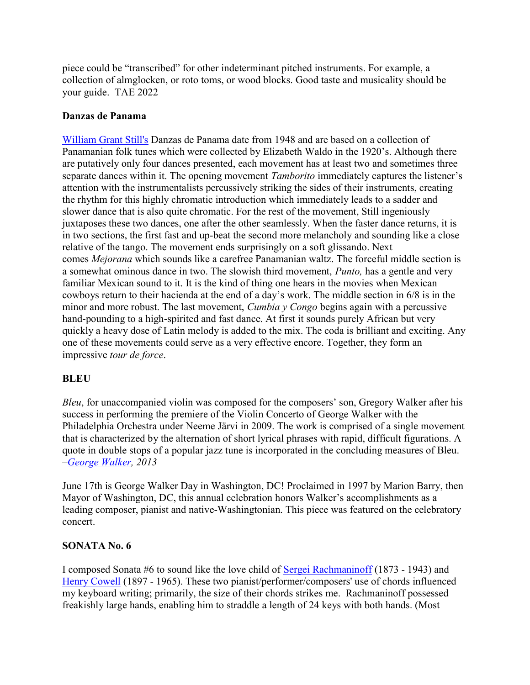piece could be "transcribed" for other indeterminant pitched instruments. For example, a collection of almglocken, or roto toms, or wood blocks. Good taste and musicality should be your guide. TAE 2022

# Danzas de Panama

William Grant Still's Danzas de Panama date from 1948 and are based on a collection of Panamanian folk tunes which were collected by Elizabeth Waldo in the 1920's. Although there are putatively only four dances presented, each movement has at least two and sometimes three separate dances within it. The opening movement *Tamborito* immediately captures the listener's attention with the instrumentalists percussively striking the sides of their instruments, creating the rhythm for this highly chromatic introduction which immediately leads to a sadder and slower dance that is also quite chromatic. For the rest of the movement, Still ingeniously juxtaposes these two dances, one after the other seamlessly. When the faster dance returns, it is in two sections, the first fast and up-beat the second more melancholy and sounding like a close relative of the tango. The movement ends surprisingly on a soft glissando. Next comes Mejorana which sounds like a carefree Panamanian waltz. The forceful middle section is a somewhat ominous dance in two. The slowish third movement, Punto, has a gentle and very familiar Mexican sound to it. It is the kind of thing one hears in the movies when Mexican cowboys return to their hacienda at the end of a day's work. The middle section in 6/8 is in the minor and more robust. The last movement, *Cumbia y Congo* begins again with a percussive hand-pounding to a high-spirited and fast dance. At first it sounds purely African but very quickly a heavy dose of Latin melody is added to the mix. The coda is brilliant and exciting. Any one of these movements could serve as a very effective encore. Together, they form an impressive tour de force.

# **BLEU**

Bleu, for unaccompanied violin was composed for the composers' son, Gregory Walker after his success in performing the premiere of the Violin Concerto of George Walker with the Philadelphia Orchestra under Neeme Järvi in 2009. The work is comprised of a single movement that is characterized by the alternation of short lyrical phrases with rapid, difficult figurations. A quote in double stops of a popular jazz tune is incorporated in the concluding measures of Bleu. –George Walker, 2013

June 17th is George Walker Day in Washington, DC! Proclaimed in 1997 by Marion Barry, then Mayor of Washington, DC, this annual celebration honors Walker's accomplishments as a leading composer, pianist and native-Washingtonian. This piece was featured on the celebratory concert.

## SONATA No. 6

I composed Sonata #6 to sound like the love child of Sergei Rachmaninoff (1873 - 1943) and Henry Cowell (1897 - 1965). These two pianist/performer/composers' use of chords influenced my keyboard writing; primarily, the size of their chords strikes me. Rachmaninoff possessed freakishly large hands, enabling him to straddle a length of 24 keys with both hands. (Most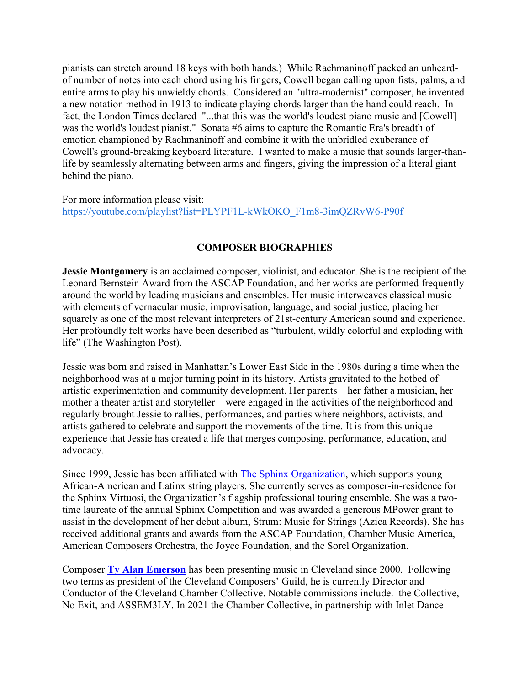pianists can stretch around 18 keys with both hands.) While Rachmaninoff packed an unheardof number of notes into each chord using his fingers, Cowell began calling upon fists, palms, and entire arms to play his unwieldy chords. Considered an "ultra-modernist" composer, he invented a new notation method in 1913 to indicate playing chords larger than the hand could reach. In fact, the London Times declared "...that this was the world's loudest piano music and [Cowell] was the world's loudest pianist." Sonata #6 aims to capture the Romantic Era's breadth of emotion championed by Rachmaninoff and combine it with the unbridled exuberance of Cowell's ground-breaking keyboard literature. I wanted to make a music that sounds larger-thanlife by seamlessly alternating between arms and fingers, giving the impression of a literal giant behind the piano.

For more information please visit: https://youtube.com/playlist?list=PLYPF1L-kWkOKO\_F1m8-3imQZRvW6-P90f

## COMPOSER BIOGRAPHIES

Jessie Montgomery is an acclaimed composer, violinist, and educator. She is the recipient of the Leonard Bernstein Award from the ASCAP Foundation, and her works are performed frequently around the world by leading musicians and ensembles. Her music interweaves classical music with elements of vernacular music, improvisation, language, and social justice, placing her squarely as one of the most relevant interpreters of 21st-century American sound and experience. Her profoundly felt works have been described as "turbulent, wildly colorful and exploding with life" (The Washington Post).

Jessie was born and raised in Manhattan's Lower East Side in the 1980s during a time when the neighborhood was at a major turning point in its history. Artists gravitated to the hotbed of artistic experimentation and community development. Her parents – her father a musician, her mother a theater artist and storyteller – were engaged in the activities of the neighborhood and regularly brought Jessie to rallies, performances, and parties where neighbors, activists, and artists gathered to celebrate and support the movements of the time. It is from this unique experience that Jessie has created a life that merges composing, performance, education, and advocacy.

Since 1999, Jessie has been affiliated with The Sphinx Organization, which supports young African-American and Latinx string players. She currently serves as composer-in-residence for the Sphinx Virtuosi, the Organization's flagship professional touring ensemble. She was a twotime laureate of the annual Sphinx Competition and was awarded a generous MPower grant to assist in the development of her debut album, Strum: Music for Strings (Azica Records). She has received additional grants and awards from the ASCAP Foundation, Chamber Music America, American Composers Orchestra, the Joyce Foundation, and the Sorel Organization.

Composer Ty Alan Emerson has been presenting music in Cleveland since 2000. Following two terms as president of the Cleveland Composers' Guild, he is currently Director and Conductor of the Cleveland Chamber Collective. Notable commissions include. the Collective, No Exit, and ASSEM3LY. In 2021 the Chamber Collective, in partnership with Inlet Dance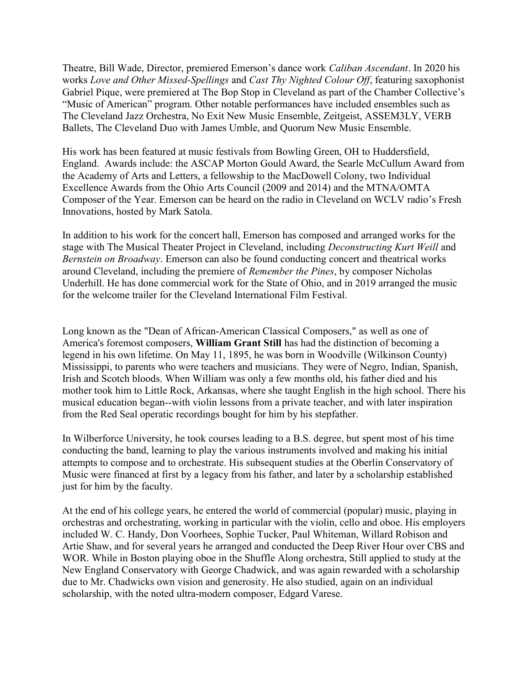Theatre, Bill Wade, Director, premiered Emerson's dance work Caliban Ascendant. In 2020 his works Love and Other Missed-Spellings and Cast Thy Nighted Colour Off, featuring saxophonist Gabriel Pique, were premiered at The Bop Stop in Cleveland as part of the Chamber Collective's "Music of American" program. Other notable performances have included ensembles such as The Cleveland Jazz Orchestra, No Exit New Music Ensemble, Zeitgeist, ASSEM3LY, VERB Ballets, The Cleveland Duo with James Umble, and Quorum New Music Ensemble.

His work has been featured at music festivals from Bowling Green, OH to Huddersfield, England. Awards include: the ASCAP Morton Gould Award, the Searle McCullum Award from the Academy of Arts and Letters, a fellowship to the MacDowell Colony, two Individual Excellence Awards from the Ohio Arts Council (2009 and 2014) and the MTNA/OMTA Composer of the Year. Emerson can be heard on the radio in Cleveland on WCLV radio's Fresh Innovations, hosted by Mark Satola.

In addition to his work for the concert hall, Emerson has composed and arranged works for the stage with The Musical Theater Project in Cleveland, including *Deconstructing Kurt Weill* and Bernstein on Broadway. Emerson can also be found conducting concert and theatrical works around Cleveland, including the premiere of Remember the Pines, by composer Nicholas Underhill. He has done commercial work for the State of Ohio, and in 2019 arranged the music for the welcome trailer for the Cleveland International Film Festival.

Long known as the "Dean of African-American Classical Composers," as well as one of America's foremost composers, William Grant Still has had the distinction of becoming a legend in his own lifetime. On May 11, 1895, he was born in Woodville (Wilkinson County) Mississippi, to parents who were teachers and musicians. They were of Negro, Indian, Spanish, Irish and Scotch bloods. When William was only a few months old, his father died and his mother took him to Little Rock, Arkansas, where she taught English in the high school. There his musical education began--with violin lessons from a private teacher, and with later inspiration from the Red Seal operatic recordings bought for him by his stepfather.

In Wilberforce University, he took courses leading to a B.S. degree, but spent most of his time conducting the band, learning to play the various instruments involved and making his initial attempts to compose and to orchestrate. His subsequent studies at the Oberlin Conservatory of Music were financed at first by a legacy from his father, and later by a scholarship established just for him by the faculty.

At the end of his college years, he entered the world of commercial (popular) music, playing in orchestras and orchestrating, working in particular with the violin, cello and oboe. His employers included W. C. Handy, Don Voorhees, Sophie Tucker, Paul Whiteman, Willard Robison and Artie Shaw, and for several years he arranged and conducted the Deep River Hour over CBS and WOR. While in Boston playing oboe in the Shuffle Along orchestra, Still applied to study at the New England Conservatory with George Chadwick, and was again rewarded with a scholarship due to Mr. Chadwicks own vision and generosity. He also studied, again on an individual scholarship, with the noted ultra-modern composer, Edgard Varese.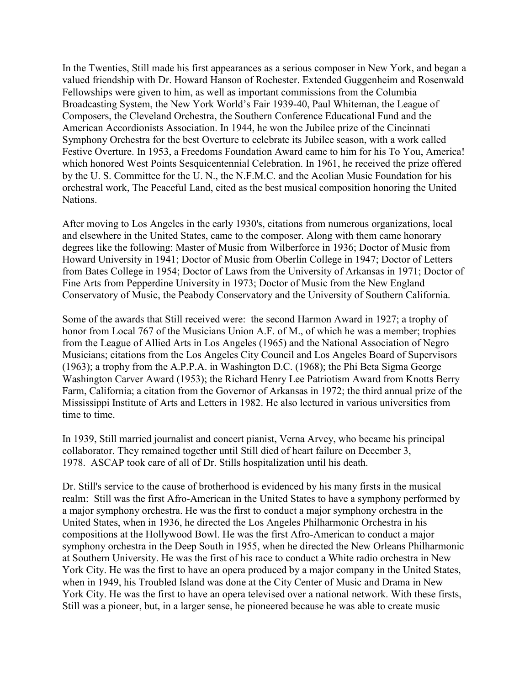In the Twenties, Still made his first appearances as a serious composer in New York, and began a valued friendship with Dr. Howard Hanson of Rochester. Extended Guggenheim and Rosenwald Fellowships were given to him, as well as important commissions from the Columbia Broadcasting System, the New York World's Fair 1939-40, Paul Whiteman, the League of Composers, the Cleveland Orchestra, the Southern Conference Educational Fund and the American Accordionists Association. In 1944, he won the Jubilee prize of the Cincinnati Symphony Orchestra for the best Overture to celebrate its Jubilee season, with a work called Festive Overture. In 1953, a Freedoms Foundation Award came to him for his To You, America! which honored West Points Sesquicentennial Celebration. In 1961, he received the prize offered by the U. S. Committee for the U. N., the N.F.M.C. and the Aeolian Music Foundation for his orchestral work, The Peaceful Land, cited as the best musical composition honoring the United Nations.

After moving to Los Angeles in the early 1930's, citations from numerous organizations, local and elsewhere in the United States, came to the composer. Along with them came honorary degrees like the following: Master of Music from Wilberforce in 1936; Doctor of Music from Howard University in 1941; Doctor of Music from Oberlin College in 1947; Doctor of Letters from Bates College in 1954; Doctor of Laws from the University of Arkansas in 1971; Doctor of Fine Arts from Pepperdine University in 1973; Doctor of Music from the New England Conservatory of Music, the Peabody Conservatory and the University of Southern California.

Some of the awards that Still received were: the second Harmon Award in 1927; a trophy of honor from Local 767 of the Musicians Union A.F. of M., of which he was a member; trophies from the League of Allied Arts in Los Angeles (1965) and the National Association of Negro Musicians; citations from the Los Angeles City Council and Los Angeles Board of Supervisors (1963); a trophy from the A.P.P.A. in Washington D.C. (1968); the Phi Beta Sigma George Washington Carver Award (1953); the Richard Henry Lee Patriotism Award from Knotts Berry Farm, California; a citation from the Governor of Arkansas in 1972; the third annual prize of the Mississippi Institute of Arts and Letters in 1982. He also lectured in various universities from time to time.

In 1939, Still married journalist and concert pianist, Verna Arvey, who became his principal collaborator. They remained together until Still died of heart failure on December 3, 1978. ASCAP took care of all of Dr. Stills hospitalization until his death.

Dr. Still's service to the cause of brotherhood is evidenced by his many firsts in the musical realm: Still was the first Afro-American in the United States to have a symphony performed by a major symphony orchestra. He was the first to conduct a major symphony orchestra in the United States, when in 1936, he directed the Los Angeles Philharmonic Orchestra in his compositions at the Hollywood Bowl. He was the first Afro-American to conduct a major symphony orchestra in the Deep South in 1955, when he directed the New Orleans Philharmonic at Southern University. He was the first of his race to conduct a White radio orchestra in New York City. He was the first to have an opera produced by a major company in the United States, when in 1949, his Troubled Island was done at the City Center of Music and Drama in New York City. He was the first to have an opera televised over a national network. With these firsts, Still was a pioneer, but, in a larger sense, he pioneered because he was able to create music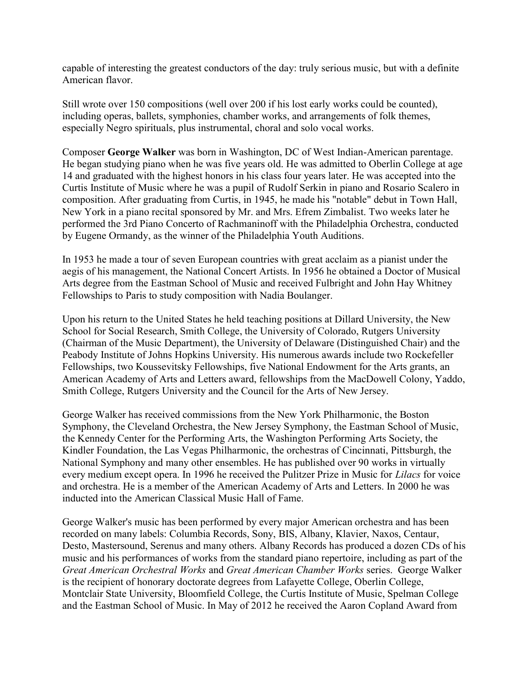capable of interesting the greatest conductors of the day: truly serious music, but with a definite American flavor.

Still wrote over 150 compositions (well over 200 if his lost early works could be counted), including operas, ballets, symphonies, chamber works, and arrangements of folk themes, especially Negro spirituals, plus instrumental, choral and solo vocal works.

Composer George Walker was born in Washington, DC of West Indian-American parentage. He began studying piano when he was five years old. He was admitted to Oberlin College at age 14 and graduated with the highest honors in his class four years later. He was accepted into the Curtis Institute of Music where he was a pupil of Rudolf Serkin in piano and Rosario Scalero in composition. After graduating from Curtis, in 1945, he made his "notable" debut in Town Hall, New York in a piano recital sponsored by Mr. and Mrs. Efrem Zimbalist. Two weeks later he performed the 3rd Piano Concerto of Rachmaninoff with the Philadelphia Orchestra, conducted by Eugene Ormandy, as the winner of the Philadelphia Youth Auditions.

In 1953 he made a tour of seven European countries with great acclaim as a pianist under the aegis of his management, the National Concert Artists. In 1956 he obtained a Doctor of Musical Arts degree from the Eastman School of Music and received Fulbright and John Hay Whitney Fellowships to Paris to study composition with Nadia Boulanger.

Upon his return to the United States he held teaching positions at Dillard University, the New School for Social Research, Smith College, the University of Colorado, Rutgers University (Chairman of the Music Department), the University of Delaware (Distinguished Chair) and the Peabody Institute of Johns Hopkins University. His numerous awards include two Rockefeller Fellowships, two Koussevitsky Fellowships, five National Endowment for the Arts grants, an American Academy of Arts and Letters award, fellowships from the MacDowell Colony, Yaddo, Smith College, Rutgers University and the Council for the Arts of New Jersey.

George Walker has received commissions from the New York Philharmonic, the Boston Symphony, the Cleveland Orchestra, the New Jersey Symphony, the Eastman School of Music, the Kennedy Center for the Performing Arts, the Washington Performing Arts Society, the Kindler Foundation, the Las Vegas Philharmonic, the orchestras of Cincinnati, Pittsburgh, the National Symphony and many other ensembles. He has published over 90 works in virtually every medium except opera. In 1996 he received the Pulitzer Prize in Music for Lilacs for voice and orchestra. He is a member of the American Academy of Arts and Letters. In 2000 he was inducted into the American Classical Music Hall of Fame.

George Walker's music has been performed by every major American orchestra and has been recorded on many labels: Columbia Records, Sony, BIS, Albany, Klavier, Naxos, Centaur, Desto, Mastersound, Serenus and many others. Albany Records has produced a dozen CDs of his music and his performances of works from the standard piano repertoire, including as part of the Great American Orchestral Works and Great American Chamber Works series. George Walker is the recipient of honorary doctorate degrees from Lafayette College, Oberlin College, Montclair State University, Bloomfield College, the Curtis Institute of Music, Spelman College and the Eastman School of Music. In May of 2012 he received the Aaron Copland Award from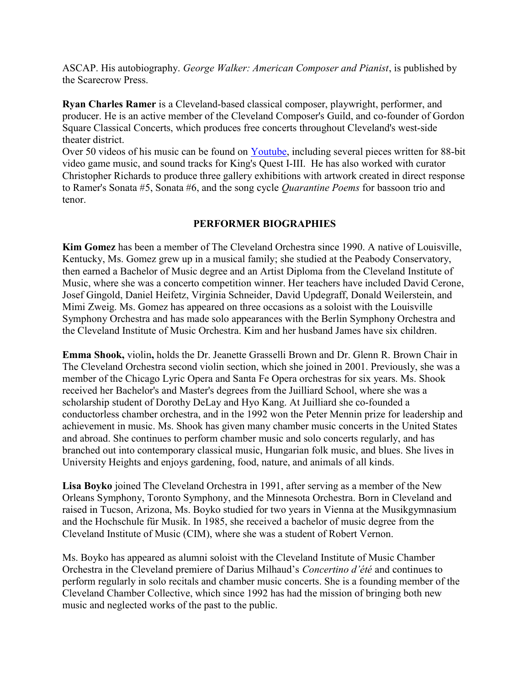ASCAP. His autobiography. George Walker: American Composer and Pianist, is published by the Scarecrow Press.

Ryan Charles Ramer is a Cleveland-based classical composer, playwright, performer, and producer. He is an active member of the Cleveland Composer's Guild, and co-founder of Gordon Square Classical Concerts, which produces free concerts throughout Cleveland's west-side theater district.

Over 50 videos of his music can be found on Youtube, including several pieces written for 88-bit video game music, and sound tracks for King's Quest I-III. He has also worked with curator Christopher Richards to produce three gallery exhibitions with artwork created in direct response to Ramer's Sonata #5, Sonata #6, and the song cycle Quarantine Poems for bassoon trio and tenor.

# PERFORMER BIOGRAPHIES

Kim Gomez has been a member of The Cleveland Orchestra since 1990. A native of Louisville, Kentucky, Ms. Gomez grew up in a musical family; she studied at the Peabody Conservatory, then earned a Bachelor of Music degree and an Artist Diploma from the Cleveland Institute of Music, where she was a concerto competition winner. Her teachers have included David Cerone, Josef Gingold, Daniel Heifetz, Virginia Schneider, David Updegraff, Donald Weilerstein, and Mimi Zweig. Ms. Gomez has appeared on three occasions as a soloist with the Louisville Symphony Orchestra and has made solo appearances with the Berlin Symphony Orchestra and the Cleveland Institute of Music Orchestra. Kim and her husband James have six children.

Emma Shook, violin, holds the Dr. Jeanette Grasselli Brown and Dr. Glenn R. Brown Chair in The Cleveland Orchestra second violin section, which she joined in 2001. Previously, she was a member of the Chicago Lyric Opera and Santa Fe Opera orchestras for six years. Ms. Shook received her Bachelor's and Master's degrees from the Juilliard School, where she was a scholarship student of Dorothy DeLay and Hyo Kang. At Juilliard she co-founded a conductorless chamber orchestra, and in the 1992 won the Peter Mennin prize for leadership and achievement in music. Ms. Shook has given many chamber music concerts in the United States and abroad. She continues to perform chamber music and solo concerts regularly, and has branched out into contemporary classical music, Hungarian folk music, and blues. She lives in University Heights and enjoys gardening, food, nature, and animals of all kinds.

Lisa Boyko joined The Cleveland Orchestra in 1991, after serving as a member of the New Orleans Symphony, Toronto Symphony, and the Minnesota Orchestra. Born in Cleveland and raised in Tucson, Arizona, Ms. Boyko studied for two years in Vienna at the Musikgymnasium and the Hochschule für Musik. In 1985, she received a bachelor of music degree from the Cleveland Institute of Music (CIM), where she was a student of Robert Vernon.

Ms. Boyko has appeared as alumni soloist with the Cleveland Institute of Music Chamber Orchestra in the Cleveland premiere of Darius Milhaud's Concertino d'été and continues to perform regularly in solo recitals and chamber music concerts. She is a founding member of the Cleveland Chamber Collective, which since 1992 has had the mission of bringing both new music and neglected works of the past to the public.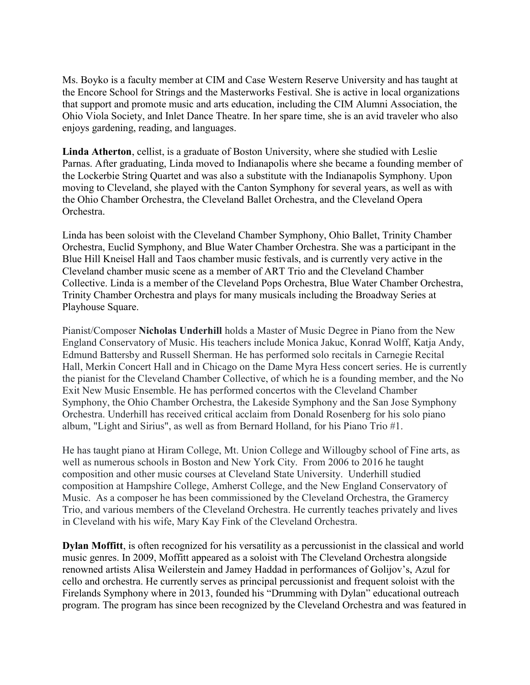Ms. Boyko is a faculty member at CIM and Case Western Reserve University and has taught at the Encore School for Strings and the Masterworks Festival. She is active in local organizations that support and promote music and arts education, including the CIM Alumni Association, the Ohio Viola Society, and Inlet Dance Theatre. In her spare time, she is an avid traveler who also enjoys gardening, reading, and languages.

Linda Atherton, cellist, is a graduate of Boston University, where she studied with Leslie Parnas. After graduating, Linda moved to Indianapolis where she became a founding member of the Lockerbie String Quartet and was also a substitute with the Indianapolis Symphony. Upon moving to Cleveland, she played with the Canton Symphony for several years, as well as with the Ohio Chamber Orchestra, the Cleveland Ballet Orchestra, and the Cleveland Opera Orchestra.

Linda has been soloist with the Cleveland Chamber Symphony, Ohio Ballet, Trinity Chamber Orchestra, Euclid Symphony, and Blue Water Chamber Orchestra. She was a participant in the Blue Hill Kneisel Hall and Taos chamber music festivals, and is currently very active in the Cleveland chamber music scene as a member of ART Trio and the Cleveland Chamber Collective. Linda is a member of the Cleveland Pops Orchestra, Blue Water Chamber Orchestra, Trinity Chamber Orchestra and plays for many musicals including the Broadway Series at Playhouse Square.

Pianist/Composer Nicholas Underhill holds a Master of Music Degree in Piano from the New England Conservatory of Music. His teachers include Monica Jakuc, Konrad Wolff, Katja Andy, Edmund Battersby and Russell Sherman. He has performed solo recitals in Carnegie Recital Hall, Merkin Concert Hall and in Chicago on the Dame Myra Hess concert series. He is currently the pianist for the Cleveland Chamber Collective, of which he is a founding member, and the No Exit New Music Ensemble. He has performed concertos with the Cleveland Chamber Symphony, the Ohio Chamber Orchestra, the Lakeside Symphony and the San Jose Symphony Orchestra. Underhill has received critical acclaim from Donald Rosenberg for his solo piano album, "Light and Sirius", as well as from Bernard Holland, for his Piano Trio #1.

He has taught piano at Hiram College, Mt. Union College and Willougby school of Fine arts, as well as numerous schools in Boston and New York City. From 2006 to 2016 he taught composition and other music courses at Cleveland State University. Underhill studied composition at Hampshire College, Amherst College, and the New England Conservatory of Music. As a composer he has been commissioned by the Cleveland Orchestra, the Gramercy Trio, and various members of the Cleveland Orchestra. He currently teaches privately and lives in Cleveland with his wife, Mary Kay Fink of the Cleveland Orchestra.

Dylan Moffitt, is often recognized for his versatility as a percussionist in the classical and world music genres. In 2009, Moffitt appeared as a soloist with The Cleveland Orchestra alongside renowned artists Alisa Weilerstein and Jamey Haddad in performances of Golijov's, Azul for cello and orchestra. He currently serves as principal percussionist and frequent soloist with the Firelands Symphony where in 2013, founded his "Drumming with Dylan" educational outreach program. The program has since been recognized by the Cleveland Orchestra and was featured in